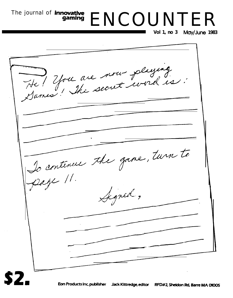The journal of **innovative** ENCOUNTER

**Vol 1, no 3 May/June 1983**

He! You are nous pluging Lo continue the game, turn to Signed, - -Eon Products Inc, publisher Jack Kittredge, editor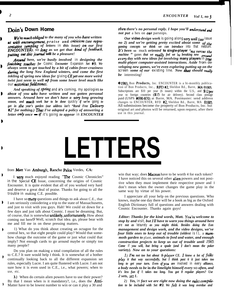# **Doin's Down Home**

*We're much obliged* to the many of you who have written *Ks* with encouragement, praise and criticism (see repre*sentative sampling of letters* **in** *this issue) on our first ENCOUNTERS. SO long as we get that kind of feedback* **p&ting out this jownal will** *be a pleasure!*

*Around here, we're busily involved* **in** *designing the finishing touches for* **Cosmic** *Encounter* **Expansion** *Set 449. We always seem to get touched by a bit of cabin-fever-craziness* during the long New England winters, and come the first *inkling of spring new ideas for* **giving** *CEyet one more weird twist just seem to well up from some lower level much like* **our noto?ious fieldrtones.**

*And speaking of spting* **and** *it's* **coming, my apologies** *to* D *tbbse of you W/JO have written and not gotten personal answers. Around here we don't have a very long growing season, and much work bar to be done* **quickly** *if we're* **going** *to get in the year's garden (our address isn't "Rural Free* **Delivery** *#2" for nothing.) Thus I've adopted a policy of answering a letter o&y once - <sup>g</sup>* **it's going** *to appear* **in** *ENCOUNTER*

*then there's no personal reply. I hope you'll understand and not put* a hex on *our* parsnips.

*Our* **video** *design work* is going along *very* well (see issue *no 2) and we're getting pretty excited about some of the gaming concepts we think we can introduce* **into that medium.** It's been so muck oriented **to single-player** "me versus the *machine* " games *that we really feel we 're breaking new ground etlery day with new ideas for involving* **many players in** *trw multi-player computer-assisted interactions. Aside from developing new games, we're even exploring putting up on the* **screen** *some of our* **existing line.** *Now that should really be* interesting!

01983, Bon **Products,** Inc. ENCOUNTER is a bi-monthly publication of Bon Products, Inc., RPD #2, Sheldon Rd., Barre, MA **01005.** Subscriptions are  $$10$  per year (6 issues) within the U.S., and  $$12$  per year to foreign countries (\$15 for air delivery). Second class postage paid (USPS #690-870) at Barre, MA. Postmaster: send address changes to ENCOUNTER, RFD #2, Sheldon Rd., Barre, MA 01005. All submissions become the property of Bon Products, Inc. but original art and photos will be returned, upon request, after their use in this journal.

# **LETTERS**

from Matt Van Amburgh, Rancho Palos Verdes, CA:

I **very** much enjoyed reading "The Cosmic Chronicles" **in the** Special **CE** Issue, concerning the origins of Cosmic Encounter. It is quite evident that all of you worked very hard and deserve a great deal of praise. Thanks for going to all the **trouble in** making C.E. possible.

I have so many questions and things to ask about C.E., that I am seriously considering a trip to the state of Massachusetts, and just to visit with you guys. Hah! We could sit down for a few days and just talk about Cosmic. I must be dreaming. But, of course, that is somewhat **unlikely, unfortunately**. How about coming out here!? Well, scratch that idea. go, please bear with me and fill me in on these pressing matters.

1) What do you think about creating an octagon for the central hex, so that eight people could play? Would that somehow change the outcome of the game or just what could that imply? Not enough cards to go around maybe or simply too many people?

Do you plan on making a total compilation of all the rules to C.E.? It sure would help I think. It is somewhat of a bother continually looking back to all the different expansion set rules, especially Lucre. I am quite flustered with Lucre. I am not sure how it is even used in C.E., i.e., what powers; when to use, etc.

**3.)** When do certain alien powers have to use their power? By that I mean when is it mandatory?, i.e., does the **Anti-**Matter have to be lowest number to win or can it play a 30 and

win that way; does **Macron** have to be worth 4 for each token? I have noticed this on several other **alien** powers and not positive when they must implement their respective power and I don't mean when the owner changes the game play in the same way by virtue of his power.

I appreciate all your help on the previous questions. Who knows, maybe one day there will be a book as big as the Oxford English Dictionary full of questions and answers dealing with Cosmic Encounter. Thanks again guys!

*Editor: Thanks for the kind words, Matt. You're welcome to stop by and* **visit,** *but I'll have to warn you things around here* **are** *not as* **leisurely** *as you might think. Besides doing the Eon management and design work, and the video designs, we've four little ones to keep out of trouble (oldest is I), a mammoth garden to* plant, *animals to feed and water, and enough construction projects to keep us out of trouble until 1985 Come* **if** *you will, but bring a spade (and 1 don't mean the poker variety). Now on to your questions:*

*1) I'm not too hot about 8-player CE. 1 know a lot of forks play it that way successfully, but I think past 6 it just takes too long to get your turn. Even ifyou are* **involved in every** *alliance, a body needs to be* **in** *the limelight himself every* **SO** *often, and it's less fun if* **it** *takes too long. You got 8 regular players? Use 2 sets, sez 1.*

*2 ) Yes,* **in** *fact we are right now doing the rules* **compika***tion to be included with Set #9. We felt it was long overdue and*

**1**

ł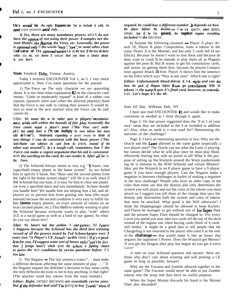**this woukd be** *the right* **Expansion** *Set to include it with. So* save your pennies *until July . . .*

*3) Yes, there are many mandatory powers* **which** *do not have the* **option** *of not using their power. Examples are the* Anti-Matter, the Macron, the Virus, etc. Generally, the power *is optional onIy* **if** *the words "may': %an", or some other clear* **indicator of its** *optional nature* is in the text. If the text declares *what* you *do,* and *doesn* 't indicate *that you have a choice about it, you don't.*

#### **from** Friedrich Tichy, Vienna, Austria:

Today I received ENCOUNTER Vol 1, no 2. I very much appreciated it. Now I've some quesitons for the journal:

1) The Force  $-$  The only character we are quarreling about. It is not clear what explanation #2 on the character card means. "Limit or moderately expand" is kind of a rubber conception. Quarrels often start when the affected player(s) think that the Force is too rude in cutting their powers. It would be nice to read in the next journal what the Force can do and cannot do.

**Editor:** *We meant this to be rather open to players'inventiveness, while still within the bounds of fair pkay. Generally the Force cannot negate a player's power ("the Virus can't multiply')* but only limit it ("it can multiply its own tokens but must *add* **allies").** *Moderately expanding a* power means *to think of new things* **it** *can do consistent with the basic power ('The Anti-Matter can subtract its card from its* **pieces,** *instead of the other way around"). It's a tough call, sometimes, but* **if** *the Force can make a cogent argument that his aid is consistent* **with** *the wording on the card, be can render it. After all, be* **is** *the Force.*

2) The Schizoid-Always seems to win, e.g. "0 bases, one (specified) empty planet in the home system". So we forbid him to specify 0 bases. But "Base and the second planet from the right in the home system empty" will **do** it as well, since if **the** Schizoid has one base, it is easy for him to clear one planet (or even 2 specified ones) and win immediately. So how should you handle him? We handle him not helping him a bit, and all players try to prevent him from gaining one base (the usual amount) because the second condition is very easy to fulfill for him **(some** empty planets, an exact amount of tokens on an exact located planet, etc.) This **leads** to nobody wanting to play the Schizoid because everyone wants to play "with" others (CE is a social game as well as a kind of war game). So what do you say about this?

*Editor: We haven't bad that problem* **in ourgames, but Iguess it** *happens because the Schizoid has the third best winning record of all the powers tested by Ted Scbmeckpeper over I, years (see "A Player's CE AnnaIs"in this* **issue.)** *If it's a prob-Iem for you, I'd suggest some sort of house rule ('%an 't be less than 3 foreign bases") which* **gives** *the others a fighting chance to guess the* **win** *conditions by yes/no questions before* **it's** *too Iate.*

3) The Negator - The last sentence states "... must make a different decision affecting the same element of play . . ." If the Negator negates the defender's decision to buy some cards, the only different decision is not to buy anything, is that right? (The attacker could buy tokens from the warp instead.)

*Editor: Right,* **certain decisions** *are essentially yes/no ones. But ifthe defender bad said 'l'm* **going** *to buy 3 cards"tben, if*

4) Assume the following situation  $-$  Player A plays Attack 10, Player B plays Compromise, loses 4 tokens to the warp. Player A is the Mesmer, and has only 5 cards left (4 are Edicts). Because he doesn't want to lose them and because he does want to crush B he intends to play them all as Plagues against the poor B. But B wants to get his consolation cards, and insists on getting them first, because he played Compromise against Attack 10 first. Player A shows him the sentence on the Edict which says "Play at any time". Which one is right? *Editor: Unfortunate& blood-thirsty A* **is** *right and can let loose his pack of Plagues before Bean get consohtion. With 16* tokens in the warp B gets A's final card, however, as consola**tion.** *Let's hope it's the 40.*

#### from Ed Day, Williston Park, NY:

I have just read ENCOUNTER #l and would like to make comments as needed as I skim through it again.

Page 2: On that power suggested does the '0 or 1 of your own' mean they are included in the 4 or included in addition to? Also, what on earth is a vote used for? Determining the outcome of the challenge?

Page **3:** I have an interesting question or two. Why are the Oracle and the Laser allowed in the same game (especially a two player one)? The Oracle can see what the Laser is playing but cannot decide what he will play since he must play blind, effectively leaving him with no power at all! What is the purpose of setting up the.Warpish around the Warp (understanding he is immune to the Wild Schizoid and certain Moons)? Idea: put the Warpish in an 8 player game to have a 9 player game if you have enough players. Can the Negator make a negation in between challenges in forfeit of making a negation in the next challenge? People who have an older copy of the rules than mine say that the destiny pile only determines the system you will attack and not the color of the tokens you must attack so I suggest you tell them of the change that says the destiny pile determines both the system and color of tokens that must be attacked. What good is the Will otherwise? I think the Doppleganger should be allowed to keep Kickers and Flares he manages to get without use of  $h$ is Super Flare and the present Super Flare should be changed to 'For every Lucre you spend you may take two cards off the top of the deck instead of the regular one when buying cards (limit of 4 cards still holds).' It might be a good idea to tell people that the Changeling is not returned to the player who used it at the end of the **challenge** — that would make it like an Insect that negates the opponent's Power. Does the Warpish get Moons? If you get the Dragon after play has begun do you get 4 extra Lucre?

A note on your Schizoid question and answer: there are those who don't care about winning and will prolong a CE game as long as possible; beware!

Why are the Vacuum and Zombie allowed together in the same game? The Vacuum would never be able to put Zombie tokens into the warp and thus have no useful purpose.

When the Super Mutant discards his hand is the Mutant Flare also discarded?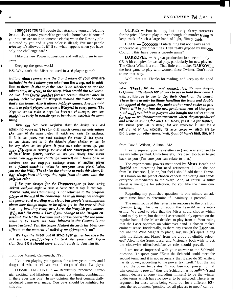I **suggest YOU tell** people that attacking yourself (playing two cards against yourself to get back a home base if none of your tokens are on it or someone else's) when the Destiny pile is turned by you and is your color is illegal; I've met people **who** say it's allowed. Is it? If so, what happens when **you** have only one challenge card?

I like the new Power suggestions and will add them to my game.

Keep up the great work!

P.S. Why can't the Miser be used in a 6 player game?

*Editor: Minn's power says the 0 or 1 token of your own are included in the 4 tokens you take from the warp, not in addi***tion** *to them. It aho says the uote is on whether or not the tokens stay, or return to the warp. What would the Universe be like if an Oracle coukin't foresee certain disaster once in awhile, beb? We put the Warpisb around the Warp because that's his home. Also it allows 7-player games. Anyone who wants to p&y 9piayers deserves a Warpisb in every game. The Negator cannot make a negation between challenges, but can make it as early in a challenge as be wishes, which is the same thing.*

*There has been some confusion about the destiny* **pile** *and* **attacking** *yourself. The star* **disc** *which comes up determines the color of the home system* **in** *which you make the challenge. If it* **is** *not yours, you must challenge the owner of that system on one planet, and be is the defensive player whether or not be has any tokens on that planet. lf your own color comes up, you may flip again* or challenge the base of one other player on one *of your home planets, wbetber* **or** *not you already have tokens there. You may never challenge yourself on a home base or anywbere else, nor mayyou challenge tokens of another player* **on** *a phet wbicb* **is** *neither his noryour home planet (unless. you are the Will). Thanks for the chance to make this clear. It* **has always** been this way, tbo, right from the start with the **original** rules.

*<sup>1</sup> like your changes jar the Doppieganger (at least* keeping *Kickers) andyou ought to make a house* **rule** *to play* **it** *that way. You're right, the Changeling is not returned to the original player at the e..d of the challenge. As in all things, we thought the power card wording was clear, but people's assumptions about bow things ought to be often get* **in** *the way of their* **learning** *bow they really are. Sure, the Warpisb gets moons. Why not? No extra 4 Lure if you change to the Dragon en passant. We let the Vacuum and* Zombie *coexist for the same reason as the Oracle and Laser -fairness* in *the Cosmos is not fine-structured. Yes, the Super Mutant discards his birth certificate at the moment of nativity - approptiate, no?*

*We kept the* **miser** *out of six-player* games *because the deck was too smallfortbe extra band. But players with Expansion* Sets *<sup>3</sup> & 8 should have enough cards to deal* him **in.**

from Joe Masset, Centereach, NY:

.

I've been playing your games for a few years now, and I thought I'd write to tell you what I thought of those I've played:

COSMIC ENCOUNTER - Beautifully produced. Strategic, exciting, and hilarious (a strange but winning combination if there ever was one). In my opinion, the best commercially produced game ever made. You guys should be knighted for this one.

 $QUIRKS$  — Fun to play, but pretty skimpy components for the price. I love to play it, even though it's murder  $trving to$ keep track of such a large hand of light, flimsy cards.

 $HOAX -$ **Boooooo**! Entertaining but not nearly as well conceived as your other titles. I felt really gypped by this one. Couldn't this have been a capsule game?

**DARKOVER**  $- A$  great production job, second only to CE. A bit complex for casual play, particularly for new players. The Ghost Wind is a riot! That little chit makes DARKOVER the best game to play with women since Twister. Don't look at me that way.

Well, that's it. Thanks for reading, and keep up the good work.

*Editor: Thanks for the candid remarks,loe. We have designed, for Quirks, little stands for players to use to hold their band of traits, and little trays to use to Lay their Quirk on the board. These items greatly facilitate handling the traits and double the appeal of the game, they make it that much easier to play. These will be put into the new production run of the game (ami made available to players who bought the* earlier edition *forfree - waitforourannouncement when tbeyareproduced and write* us asking *for one). On Hoax, yes it* **is** *a far lighter, less serious game (as* **is** *Runes) but our experience* **is** *that it's a bell of a lot of fun,* **especially** *for large groups - which are too* **big** *to p&y our other items. Well, 3 out of 4 isn't bad, tbo, eh?*

from David Wilson, Allston, MA:

I really enjoyed your newsletter (sic) and was surprised to see my letter printed. Unfortunately, I've been too busy to get back to you (I'm sure you can relate to that.)

The experimental powers mentioned by **Mssrs**. Beach and **Rasfeld** are interesting but need refinement. I like the one from Dr. Frederick L. Minn, but feel I should add that a Terrorist's bomb on the planet chosen cancels the voting and sends everyone immediately to the Warp. And, of course, a filthy planet is ineligible for selection. Do you like the name ombudsman?

Regarding my published question -is one minure an adequate time limit to determine if unanimity is present?

The main focus of this letter is in response to the one from Quentin Long. The question about the Laser/Miser is interesting. We used to play that the Miser could choose which hand to play from, but that the Laser would only operate on the regular hand, if the Miser decided to play from it. Your ruling that the Laser operates on whichever hand is chosen makes eminent sense. Incidentally, is there any reason the Laser cannot use the Wild Magnet to place, say, his 20's apart (along with his Edicts and Flares) from the group of eligible selectees? Also, if the Super Laser and Visionary both wish to act, the clockwise offensivedefensive rule should prevail.

I am not as impressed with your answer to the Schizoid question. To quote you: "Even the Schizoid could meet the second term, and it is not necessary that it also do SO while it has its power, according to the power text itself." But the last line of the power text states: "If you lose your power, normal win conditions prevail" thus the Schizoid has no **authroity** and cannot declare anyone (including himself) to be the winner under terms which have no power to be enforced. There is an argument for these terms being valid, but for a different  $\text{real}$ . son: the requirement 'possible for all players to meet" can be

z.

١

b

I

١

 $\overline{\phantom{a}}$ 

 $\overline{\phantom{a}}$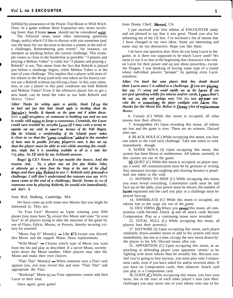fulfilled by possession of the Power Trip Moon or Wild Witch Flare. In a game without these Expansion sets, terms involving fewer than *3* home **bases** should not be considered valid.

The Schizoid raises some other interesting questions (bugs, really) which I'd like to discuss with you sometime (and was the basis for our decision to declare a winner at the end of a challenge). Remembering past events", for instance, we interpret as anything before the current challenge. This example comes as close to the borderline as possible: "3 planets and playing a Mobius Tubes" is valid, but "3 planets and playing a Rebirth" is not. This stems from the fact that Rebirth is played just before a challenge begins, while Mobius Tubes is at the start of your challenge. This implies that a player with most of his tokens in the Warp (and only one token on his bases) cannot use a Rebirth without sacrificing a base. Is this your intention, or can a player in this poor condition use both Rebirth and Mobius Tubes? Even if the offensive player has to get a new hand, can he bend the rules to use both Rebirth and Mobius Tubes?

*Editor: Thanks for writing again so quickly, David. I'd say that no bard and fast time limit should apply to deciding about the* Sniveler's benefits. It depends on the game and if active discus**sion** *is still taking place, or someone is holding out and no one is really still tryhtg to forge a consensus. Certainly, the Laser could save trouble by asking the Lasee (if I may coin a term) to separate out any cards be* **specifies** *because of the Wild Magnet. On the Schizoid, a carefulreading of the Schizoid power makes it clear to* me *that the* 'game *condition"added to the number of bases must be possible forany playerto meet. It does not say that the player must be able to win while meeting the condition, simply that it is something available to all as a state dur***ing** *play. So 1'11 stick by my Schizoid answer.*

*Bugs! In CE? Never. Except maybe the Insect. And the Assassin. And.. . No, a player may not first play Mobius Tubes, or otherwise get a token from the Warp at the start of his cballenge, and then play Rebirth to use it. Rebirth only preceeds a challenge. I still don't understand the reasons you say* **wins** *must come at the end of a challenge, David. Seems to* me *if someone won by playing Rebirth, be would win immediately, and that's it.*

from Rick Heilberg, Cambridge, MA:

We have come up with some new Moons that you might be interested in. They are:

"In Your Face"  $Moon(s)$  — Upon winning your fifth planet (you must have 5), reveal this Moon and state "In your face" to all players trying to alter the outcome of the game by use of Flairs, Edicts, Moons, or Powers, thereby securing victory for yourself.

"Moon Zap II" Moon(s)  $\rightarrow$  Like #73 except you discard this Moon and the zapped Moon. Draw replacements.

"Wild Moon" - Choose which type of Moon you want from the list and play as described. If a secret Moon, secretly write down the Moon number. Other players may take the Moon and make their own choices.

"Flair This"  $Moon(s)$   $\rightarrow$  When someone uses a Flair card against you, you may reveal this and state "Flair This" and appropriate the Flair.

"Bankrupt" Moon  $(c)$  - Your opponents cannot add their Lucre to their total.

from Donny Cherf, Merced, CA:

I just received your first edition of ENCOUNTER today and am pleased to say that it was great. Thank you also for informing me of the CE box. I've enclosed a list of moons that 1 have changed to my own ideas. Some are interesting and some may be too destructive. Hope you like them.

I do have one question also: How do you keep Lucre in the game, or is there not supposed to be much Lucre used? We seem to use it so fast at the beginning that characters who rely on Lucre for their power end up just about powerless, except the Dragon. I was thinking of having some type of a round where individual powers "prosper" by gaining extra Lucre somehow.

*Editor: I've beard that some players think they should discard their Lucre once* **it** *is added to a challenge. If you are* **pkaying** *that way,* **it's** *wrong and would rapidly use up the Lucre. lf you are just spending wildly for tokens and/or cards, Iguess that's the way you play and perhaps every* **time you** *turn upyour own color disc or sometbjng the player couldgain extra Lucre. Also, thanks for the Moon list. Below is Donny'l list of rephcement Moons:*

6. Curtain (C) While this moon is occupied, all other moons lose their effects.

7. Armageddon (S) Upon revealing this moon, all tokens are lost and the game is over. There are no winners. Discard after use.

8. BLACK HOLE (C) While occupying this moon, you lose one token to the void each challenge. Take one token to void immediately though.

9. SUPER NOVA (I) Upon occupying this moon, this system has been blown to smithereens. All tokens currently in this system are out of the game.

10. QUIET (C) While this moon is occupied, no player may say a word. All communication must be by gestures or writing. Any utterance (except coughing and clearing throats) is penalized one token to the void.

11. NOTHING TO HIDE (C) While occupying this moon, you must reveal everything. Consolation cards must be laid face-up on the table, your power must be shown, the number of lucres separated and the card you play in a challenge must be played face-up.

14. ANNIHILATE (C) While this moon is occupied, any tokens lost to the warp are out of the game. .

15. VICE VERSA  $(S)$  When you **reveal** this moon, all compromise cards become Attack 4 and all attack cards become Compromise. Play as a continuing moon once revealed.

23. TOTAL NULL (C) While occupying this moon, all players lose their power(s).

37. HAYWIRE (I) Upon occupying this moon, each player randomly draws-another moon to add to his system and must immediately, but one at a time, occupy the new moon drawn by the player to his left. Discard moon after use.

55. APPARITION (C) Upon occupying this moon, as an attacking or defending player your opponent 'seems' to be fighting with more tokens than he actually has. Because you feel you're going to lose anyway, you must play only Compromise cards, even if you have asked for and/or received allies. If you have no Compromise cards, then whatever Attack card you play is a Compromise card.

56. GUEST (C) While occupying this moon, you lose your turns, but at the start of each other player's turn (not their challenge) you may move one of your tokens onto one of his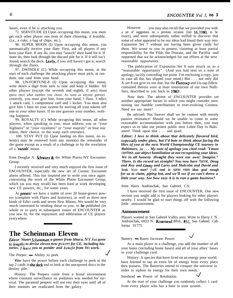bases, even if he is attacking you.

71. SERVITUDE (I) Upon occupying this moon, you must get each other player one item of their choosing, if feasible, (i.e., a coke, a bag of chips, etc.).

96. SUPER MOON (I) Upon occupying this moon, you automatically receive your flare. First, ask all players if any have your flare. If any do, you may "search" their hand for it. If none do, then look through the discard pile for it. If it still isn't found, search the deck. Iastly, if you still haven't got it, search through the flares.

97. DWINDLE (C) While occupying this moon, at the start of each challenge the attacking player must pick, at random, one card from your hand.

98. UN-FORTUNE-8 (I) Upon occupying this moon, write down a digit from zero to nine and keep it hidden. All other players (except the seventh and eighth, if any) must guess once what number you chose. As soon as anyone guesses correctly, you must give him, from your hand, 1 flare, 1 edict, 1 attack card, 1 compromise card and 1 kicker. You must also give him 1 base on your system by moving all your tokens off one to your other bases. If no one guesses your number, nothing happens.

99. ROYALTY (C) While occupying this moon, all other players, when speaking to you, must address you as "your highness" or "your royalness" or "your majesty" or lose one token, their choice, to the warp each utterance.

100. STAY PUT (I) Upon landing on this moon, no token(s) may be removed from any moon(s) the remainder of the game except as a result of a challenge or by the revelation of a \*vanish' moon.

from Douglas A. Schwarz  $\&$  the White Plains NY Encounter Group:

I recently received and very much enjoyed the first issue of ENCOUNTER, especially the new set of Cosmic Encounter aliens offered. This has inspired me to write you once again concerning the work of the White Plains Encounter Group, which (as you may recall) has been hard at work developing new CE powers, etc., for some years.

At **presen** we have a stable of over 20 home-grown powers (complete with Flares and histories), as well as three new kinds of Edict cards and seven New Moons. We would be very much interested in sending these to you, to be published (in whole or in part) in subsequent issues of ENCOUNTER as you saw fit, for the enjoyment and edification of CE players everywhere.

# **The Scheinman Eleven**

*Editor: Stuart Scheinman, a gamer from Ithaca, NY, has gone to lengths to devise eleven neu- pou'ers for CE, including his***tories.** I leave you to ponder and benefit from *his work*.

**YOU** have the power before each challenge to peek at the top 2 cards in the deck and to look at the unexposed discs in the destiny pile.

History: The Peepers come from a brutal environment where constant surveillance on predators was needed for survival. The paranoid peepers will not rest their eyes until all of their enemies are eradicated from the galaxy.

However. . . you may also recall that we provided you with a set of suggestions on a previous occasion (July 16,1980, to be exact), and were subsequently rather miffed to discover that some of what appeared to be our ideas had found their way into Expansion Set 7 without our having been given credit for' them. We wrote to you in protest, claiming at least partial responsibility for the Filth, the Disease, and the Pacifist -and requested that we be acknowledged for our efforts at the next reasonable opportunity.

The publication of Expansion Set 8 sure struck us as a "reasonable opportunity"  $[$  (And you had sent us a note of apology, tacitly conceding our point. I'm enclosing a copy, just in case all this has slipped your mind.) But . . . not only did X-set 8 not give us our due, but the Flarezap and Un-zap Edicts contained therein were at least reminiscent of our own Nullifiers, described to you back in 1980!

Now then. The advent of ENCOUNTER provides yet another appropriate forum in which you might consider mentioning our humble contributions to ever-evolving Cosmos. Need we say more?

Be advised. Not forever shall we be content with merely passive resistance! Should we be unable to come to some reasonable accommodation with you before then, you may expect us to take our protest public next Labor Day in Baltimore! Think upon that . . . and quail.

*Editor: I love to think about that delicately flavored bird, expecially under glass, but I'd bate to think about facing the likes of you at the next World Championship CE tourney in Baltimore, so . . . My note of apology you cited read: '7 must* confess *our abject humiliation at not recognizing your ideas. We in all honesty tbougbt they were our own! Imagine." There. Is the record set straight? You now have* fame, *Doug and Roy and Gnny and Larry and Malcolm and David and Scott.* Want *more?* Just *send in* some more *ideas good enough for us to claim, piping hot, and we'll see if we can't throw a little your way. See bow easy* **it** *is to run a game business?*

from Harry Andruschak, San Gabriel, CA:

I have received the first issue of ENCOUNTER. One new section you might add is for players looking for other players nearby. I would be glad to start things off with the following little announcement.

#### **Announcement**

Players wanted in San Gabriel Valley area. Write to Harry J. N. Andruschak, 6933 N. Rosemead Blvd., #31, San Gabriel, California 91775.

Battery - Bases Increase Power

As a main player in a challenge, you add the number of all your bases (including home bases) and all of your allies' bases to your challenge card.

History: A species that have lived on an energy poor world, have learned to tap an extra bit of energy from every place they possess. The Batteries intend to conquer the universe in order to siphon its energy for their own needs.<br>Sorehead  $\longrightarrow$  Power of Retaliation

At the start of your challenge you randomly collect 1 card from every player who has a base in your system.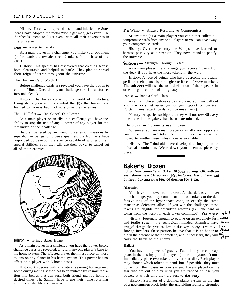History: Faced with repeated insults and injuries the Soreheads have adopted the motto "don't get mad, get even". The Soreheads intend to "'get even" with all their adversaries in the universe.

#### **Fear** - Power to Terrify

As a main player in a challenge, you make your opponent (before cards are revealed) lose 2 tokens from a base of his choice.

History: This species has discovered that creating fear is both pleasurable and helpful in battle. They plan to spread their reign of terror throughout the universe.<br>The Jinx  $\rightarrow$  Card Worth 13

Before challenge cards are revealed you have the option to call out "Jinx". Once done your challenge card is transformed into unlucky 13.

History: The Jinxes come from a world of misfortune. Using its religion and its symbol the  $\#13$  the Jinxes have learned to harness bad luck to stymie their enemies.<br>The Nullifier — Can Cancel Out Power

As a main player or an ally in a challenge you have the ability to stop the use of any 1 power of any player for the remainder of the challenge.

History: Battered by an unending series of invasions by super-human beings of diverse qualities, the Nullifiers have responded by developing a science capable of wiping out all special abilities. Soon they will use their power to cancel out all of their enemies.



#### *salmon* - Brings Bases Home

As a main player in a challenge you have the power before challenge cards are revealed, to return any one player's base to his home system. The affected player then must place all those tokens on any planet in his home system. This power has no effect on a player with 5 home bases.

History: A species with a fanatical yearning for returning home during mating season has been mutated by cosmic radiation into beings that can send both friend and foe home at desired times. The Salmon hope to use their home returning abilities to shackle the universe.

#### **The Wimp —** Always Resorting to Compromises

At any time (as a main player) you can eithet collect all compromise cards from any or all players or you can give away your compromise cards.

History: Over the century the Wimps have learned to harness passivity as a strength. They now intend to pacify the universe.

#### **Suiciders** - Strength Through Defeat

As a main player in a challenge you receive 4 cards from the deck if you have the most tokens in the warp.

History: A race of beings who have overcome the deadly perils of their planet by strategic sacrifices of their members. The suiciders will risk the total decimation of their species in order to gain control of the galaxy.<br>Racist — Bans a Card Class

As a main player, before cards are played you may call out a class of cards that neither you nor your opponent can use (i.e., Edicts, Flares, attack cards, compromise cards).

History: A species so bigotted, they will not rest till every other race in the galaxy has been exterminated.

#### 'Thindroids  $\sim$  Opponents use 1 token

Whenever you are a main player or an ally your opponent cannot use more than 1 token. All of the other tokens must be moved to another base unless none is available.

History: The Thindroids have developed a simple plan for universal domination. Wear down your enemies piece by piece.

# **Baker's Dozen**

**Editor: Now comes** *Kevin Baker, of Sand Springs, OK, with an* even dozen new CE powers plus histories. Get out the old *battered box and try a few of* **them on** *for size.*

#### **Alarmist**

You have the power to intercept. As the defensive player in a challenge, you may commit one to four tokens to the defensive ring of the hyper-space cone, in exactly the same manner as defensive allies. If you win the challenge, these tokens are eligible for defender's rewards (i.e., one card or token from the warp for each token committed). You may put up to 5

and fertile system, the ecologically-minded Alarmists have the one History: Fortunate enough to evolve on an extremely lush  $T<sub>other</sub>$ ; struggled through the years to keep it that way. Always alert to  $\bullet$  \$  $\bullet\bullet$ foreign invaders, these patriots believe that it is an honor to  $\mathbf{f}$ die in the defense of their homeland, and if necessary, they will  $\mathcal{P}_{\mathbf{p}}^{\mathbf{p}}$  arry the battle to the enemy.

### Ballast

You have the power of gravity. Each time your color appears in the destiny pile, all players (other than yourself) must immediately place two tokens on your star disc. Each player may choose which tokens to send, but if possible, they must come from their bases in your system. Tokens placed on the star disc are out of play until you are zapped or lose your power, at which time they are sent to the warp.

History: Survivors of a doomed planet system on the rim of a monsterous black hole, the unyielding Ballasts struggled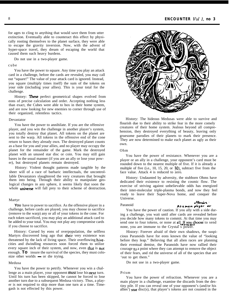for ages to cling to anything that would save them from utter extinction. Eventually able to counteract this effect by physically rooting themselves to the planet surface, they were able to escape the gravity inversion. Now, with the advent of hyper-space travel, they dream of escaping the world that caused them such heavy burdens.

Do not use in a two-player game.

#### cube

You have the power to square. Any time you play an attack card in a challenge, before the cards are revealed, you may call out "square!" The value of your attack card is ignored. Instead, you square (multiply times itself) the sum of the tokens on your side (including your allies). This is your total for the challenge.

History: These perfect geometrical shapes evolved from eons of precise calculation and order. Accepting nothing less than exact, the Cubes were able to box in their home system, and are now looking for new enemies to corner through use of their organized, relentless tactics.

#### Devastator

You have the power to annihilate. If you are the offensive player, and you win the challenge in another player's system, you totally destroy that planet. All tokens on the planet are sent to the warp. All tokens in the offensive end of the cone return to bases they already own. The destroyed planet counts as a base for you and your allies, and no player may occupy the planet for the remainder of the game. Mark the destroyed planet with an unused star disc or coin. You may still gain bases in the usual manner (if you are an ally or lose your power), but destroyed planets remain destroyed.

History: Violent thought patterns made tangible by the sheer will of a race of barbaric intellectuals, the uncontrollable Devastators slaughtered the very creatures that brought them into being. Through their ability to manipulate geological changes in any sphere, it seems likely that soon the whole *universe* will fall prey to their scheme of destruction.

#### Martyr

You have to power to sacrifice. As the offensive player in a challenge, before cards are played, you may choose to sacrifice (remove to the warp) any or all of your tokens in the cone. For each token sacrificed, you may play an additional attack card to be added to your total. You may not play any compromise cards if you choose to sacrifice.

History: Cursed by eons of overpopulation, the selfless Martyrs discovered long ago that their very existence was threatened by the lack of living space. Their overflowing hivecities and dwindling resources soon forced rhem to utilize every square inch of their system, and now, even that is not enough. **To** insure the survival of the species, they must colonize other worlds  $-$  or die trying.

#### Medusa

You have the power to petrify. Whenever you win a challenge as a main player, your opponent must lose his next turn. Until his turn has been skipped, he cannot be forced to lose another turn due to a subsequent Medusa victory. Thus, a player is not required to skip more than one turn at a time. Timegash is not effected by this power.



History: The hideous Medusas were able to survive and flourish due to their ability to strike fear in the more comely creatures of their home system. Jealous beyond all comprehension, they destroyed everything of beauty, leaving only gruesome parodies of their planets to mark their presence. They are now determined to make each planet as ugly as their own.

#### Ohm

You have the power of resistance. Whenever you are a player or an ally in a challenge, your opponent's card must be rounded down to the nearest multiple of five. If it is already a multiple of five (i.e., 10, 15, 20, or  $30$ ), subtract five from the face value. Attack 4 is reduced to zero.

History: Undaunted by adversity, the stubborn Ohms have dedicated their existence to resisting the cosmic flow. The exercise of striving against unbelievable odds has energized their inter-molecular triple-plasma bonds, and now they feel ready to leave their Super-Nova home, and conquer the Universe.

### Paranoid

#### offensive. Asamain player or

You have the power of caution. If you ally with a side during a challenge, you wait until after cards are revealed before you decide how many tokens to commit. At that time you may send one to four tokens, or none at all. If you choose to send none, you are immune to the Crystal s power.

History: Forever afraid of their own shadows, the suspicious Paranoids have for eons known the value of "looking before they leap." Believing that all alien races are planning their eventual demise, the Paranoids have now rallied their courage  $t_0$  a point where they can attempt to remove the object of their fears, and rid the universe of all of the species that are 'out to get them."

Do not use in a two-player game.

## Prism

You have the power of refraction. Whenever you are a main player in a challenge, examine the discards from the destiny pile. If you can reveal one of your opponent's (and/or his allies') star disc(s), that player's tokens are not counted in the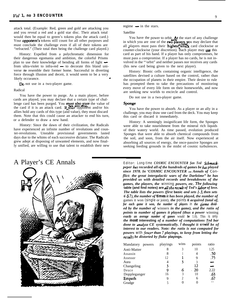attack total. (Example: Red, green and gold are attacking you and you reveal a red and a gold star disc. Their attack total would then be equal to green's tokens plus the attack card.) Your **opponent's** tokens still count for all other purposes and must conclude the challenge even if all of their tokens are "refracted." (Their total then being the challenge card played.)

History: Expelled from a polychromatic dimension for their dangerous egomania and ambition, the colorful Prisms plan to use their knowledge of bending all forms of light plan to use their knowledge of bending all forms of light  $\leftarrow$  from ultra-violet to infra-red  $\leftarrow$  to decorate this bland universe *to* resemble their former home. Successful in diverting force through illusion and deceit, it would seem to be a very likely occurance.

Do not use in a two-player game.

#### Radical

You have the power to purge. As a main player, before cards are played, you may declare that a certain type of challenge card has been purged. You must also state the value of the card if it is an attack card. If, your opponent and/or his allies hold any cards of this type (and value), they must discard them. Note that this could cause an attacker to end his turn, or a defender to draw a new hand.

History: Since the dawn of their civilization, the Radicals have experienced an infinite number of revolutions and counter-revolutions. Unstable provisional governments lasted days due to the whims of each successive dictator. The Radicals grew adept at disposing of unwanted elements, and now finally unified, are willing to use that talent to establish their new

## regime  $-$  in the stars.

#### Satellite

You have the power to orbit. At the start of any challenge in which you are one of the two playe pass their highest at in which you are one of the **two players**, you may declare that all players must pass their **highest** attack card clockwise or counter-clockwise (your discretion). Bach player may  $use$  this card as part of his hand. If a player has only compromises, he must pass a compromise. If a player has no cards, he is not involved in the "'orbit" and neither passes nor receives any cards (his new card being given to the next player).

History: Bionic cells containing organic intelligence, the satellites devised a culture based on the control, rather than the occupation of planets in their empire. Their desire to rule has prompted them to take the precautions of monitoring every move of every life form on their homeworlds, and now are seeking new worlds to encircle and control.

Do not use in a two-player game.

#### sponge

You have the power to absorb. As a player or an ally in a challenge, you may draw one card from the deck. You may keep this card or discard it immediately.

History: A seemingly insignificant life form, the Sponges were able to take nourishment from the mineral rich liquids of their watery world. As time passed, evolution produced Sponges that were able to absorb chemical compounds from the soil, and soon, from the air itself. Now experienced at absorbing all sources of energy, the once-passive Sponges are seeking feeding grounds in the midst of cosmic turbulences.



A Player's CE Annals Editor: Long-time *COSMIC ENCOUNTER fan Ted Schmeckpeper has recorded all of the hundreds of games be has played since 1978. In 'COSMIC ENCOUNTER - Annals of* Con*flict: the great intergalactic wars of the Darktime" be has provided us with detailed records and breakdowns of the games, the players, the* **winning** *powers, etc. The following* table (and find notes) are all the result of Ted's labor of love. *The table lists the powers (first* **basic** *and sets l-3, then sets 6 G 7), the number of* **times** *it has been played, the number of* games it won **(single** or joint), *the* **points it** *acquired (total of, for each game it won, the number of players* **in** *the game divided by the number of* winners *in the game), and the ratio of points to number of games it played (thus a power* winning *exactly an average number of games* would *be* 1.0). This **is only** *the* **most interesting** *of a number of computations Ted bar done to analyze CE systematically. 1 thought it woukl be of interest to our readers. Note: the ratio is not computed for powers* **with** *fewer than* 7 playings, to keep from letting the *resuhs be distorted by fluke* **playings.**

| Mandatory powers | playings | wins | points | ratio |
|------------------|----------|------|--------|-------|
| Anti-Matter      |          | 3    | 10     | 1.25  |
| Assassin         | 8        |      |        | .50   |
| Assessor         | 12       | A.   |        | .75   |
| Aura             |          | 3    |        |       |
| Changeling       | 3        |      | 12     |       |
| Deuce            | 9        | 6    | 20     | 2.22  |
| Doppleganger     | 16       | 3    | 10     | .63   |
| Empath           | 9        | 2    | 6      | .67   |
| Grudge           |          |      |        |       |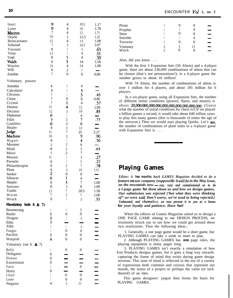| Insect<br>Laser<br>Macron<br>Oracle<br>Reincarnator<br>Schizoid<br>Vacuum<br>Virus<br>Void<br>Vulch<br>Warrior<br>Will<br>Zombie                                                                                                                                                                                            | 9<br>9<br>$\overline{7}$<br>10<br>12<br>$\overline{7}$<br>8<br>13<br>8<br>9<br>14<br>6<br>$\overline{7}$                                                                                                               | $\overline{4}$<br>$\overline{4}$<br>$\overline{4}$<br>5<br>4<br>5<br>$\mathbf{1}$<br>1<br>$\mathbf{I}$<br>5<br>$\overline{4}$<br>$\overline{c}$<br>$\boldsymbol{0}$                                                                                                                                                                                                                                         | 10.5<br>16<br>12<br>12.5<br>13<br>14.5<br>5<br>$\overline{4}$<br>$\overline{4}$<br>14<br>14<br>5<br>$\boldsymbol{0}$                                                                                                                                                   | 1.17<br>1.78<br>1.71<br>1.25<br>1.08<br>2.07<br>.63<br>.31<br>.50<br>1.56<br>1.00<br>÷,<br>0.00                                                                                 |
|-----------------------------------------------------------------------------------------------------------------------------------------------------------------------------------------------------------------------------------------------------------------------------------------------------------------------------|------------------------------------------------------------------------------------------------------------------------------------------------------------------------------------------------------------------------|-------------------------------------------------------------------------------------------------------------------------------------------------------------------------------------------------------------------------------------------------------------------------------------------------------------------------------------------------------------------------------------------------------------|------------------------------------------------------------------------------------------------------------------------------------------------------------------------------------------------------------------------------------------------------------------------|---------------------------------------------------------------------------------------------------------------------------------------------------------------------------------|
| Voluntary<br>powers<br>Amoeba<br>Calculator<br>Chronos<br>Clone<br>Crystal<br>Demon<br>Dictator<br>Diplomat<br>Filch<br>Gambler<br>Healer<br>Judge<br>Machine<br>Magnet<br>Mesmer<br>Mind<br>Miser<br>Mutant<br>Parasite<br>Philanthropist<br>Plant<br>Seeker<br>Silencer<br>Skeptic<br>Sorcerer<br>Trader<br>Worm<br>Wrack | 4<br>$\overline{4}$<br>$\overline{7}$<br>$\overline{7}$<br>$\overline{7}$<br>11<br>12<br>6<br>9<br>6<br>$\overline{4}$<br>11<br>10<br>8<br>3<br>8<br>5<br>11<br>9<br>9<br>$\frac{9}{2}$<br>6<br>9<br>8<br>13<br>7<br>9 | $\mathbf{1}$<br>$\mathbf{1}$<br>$\mathbf{1}$<br>$\boldsymbol{0}$<br>ı<br>$\overline{\bf 4}$<br>3<br>$\mathbf{1}$<br>$\frac{2}{2}$<br>$\overline{3}$<br>$\overline{7}$<br>3<br>$\mathbf{1}$<br>$\overline{c}$<br>$\overline{c}$<br>$\overline{c}$<br>$\mathbbm{1}$<br>$\mathbbm{1}$<br>$\overline{c}$<br>3<br>$\overline{0}$<br>$\mathbf{1}$<br>3<br>$\overline{3}$<br>$\overline{7}$<br>$\overline{c}$<br>1 | $\overline{\mathcal{L}}$<br>3<br>3<br>$\boldsymbol{0}$<br>$\overline{4}$<br>12<br>10<br>4<br>7<br>6<br>12<br>25<br>9<br>4<br>9<br>5<br>$\overline{7}$<br>3<br>$\overline{c}$<br>$\overline{7}$<br>10<br>0<br>4<br>$\overline{7}$<br>8<br>20.5<br>$\boldsymbol{7}$<br>3 | .43<br>0.00<br>.57<br>1.09<br>.83<br>$\overline{\phantom{0}}$<br>.73<br>—<br>-<br>2.27<br>.90<br>.50<br>.63<br>.27<br>.22<br>.78<br>1.11<br>1.00<br>1.00<br>1.58<br>1.00<br>.33 |
| Mandatory bets 6 & 7)<br>Boomerang<br><b>Butler</b><br>Dragon<br>Ethic<br>Filth<br>Fungus<br>Pacifist<br>Warpish                                                                                                                                                                                                            | 1<br>1<br>3<br>$\boldsymbol{0}$<br>$\mathbf{I}$<br>1<br>1<br>4                                                                                                                                                         | $\mathbf{1}$<br>$\boldsymbol{0}$<br>$\mathbf{1}$<br>$\mathbf{1}$<br>$\boldsymbol{0}$<br>$\boldsymbol{0}$<br>$\overline{0}$                                                                                                                                                                                                                                                                                  | 5<br>$\boldsymbol{0}$<br>3<br>3<br>$\boldsymbol{0}$<br>$\boldsymbol{0}$<br>$\boldsymbol{0}$                                                                                                                                                                            | ╾<br>$\frac{1}{1}$<br>$\frac{1}{\pi}$                                                                                                                                           |
| Voluntary (set $6 \& 7$ )<br>Bully<br>Delegator<br>Disease<br>Extortionist<br>Force<br>Hurtz<br>Lloyd<br>Loser<br>Negator                                                                                                                                                                                                   | 1<br>$\boldsymbol{0}$<br>$\boldsymbol{0}$<br>$\boldsymbol{0}$<br>1<br>$\boldsymbol{0}$<br>1<br>1<br>$\overline{4}$                                                                                                     | $\boldsymbol{0}$<br>$\boldsymbol{0}$<br>$\boldsymbol{0}$<br>3                                                                                                                                                                                                                                                                                                                                               | $\boldsymbol{0}$<br>$\boldsymbol{0}$<br>$\boldsymbol{0}$<br>$\boldsymbol{0}$<br>11                                                                                                                                                                                     | —<br>—<br>$\frac{1}{2}$                                                                                                                                                         |

|                     | O |    |  |
|---------------------|---|----|--|
|                     |   |    |  |
|                     | O | U  |  |
|                     |   |    |  |
|                     | O | O  |  |
| 3<br>$\mathfrak{D}$ | 3 | 13 |  |
|                     |   |    |  |

Also, did you know . . .

With the first 3 Expansion Sets (50 Aliens) and a 4-player game, there are about 230,000 combinations of aliens that can be chosen (that's not permutations!); in a 6-player game the number grows to about 16 million!

With 74 Aliens, the number of combinations of aliens is over 1 million for 4 players, and about 185 million for 6 players.

In a six-player game, using all Expansion Sets, the number of different initial conditions (powers, flares, and moons) is about 20,ooO,ooO,ooO,ooO,00,000,000,000,000,00. (Guess what the number of initial conditions for chess is!) If we played a billion games a second, it would take about 640 trillion years to play this many games (this is thousands of times the age of the universe.) Then we would start playing Quirks. Let's see, the number of combinations of plant traits in a 4-player game with Expansion Sets is . . .

# **Playing Games**

*Editor: A few months back GAMES Magazine decided to do a feature* on *our company (supposedly it willbe in the May issue, on the new stands back distribution in again accurate to ablamature on our company (supposedly it will be in the May issue, on the newstands now — run, run) and commissioned us to do a l-page game for them about us and bow we design games, Our submission was rejected ('hot what they were thinking of" we were told. Don't worry, we're used to being rejected.) Undaunted, and sbame1ess, we now present it to you as a bonus for your loyalty and patience. Have fun!*

When the editors of Games Magazine asked us to design a ONE PAGE GAME relating to our DESIGN PROCESS, we resolutely struck out to see how we could get around these two restrictions. Thus the following ideas.:

1. Generally, a one page game would be a short game, but PLAYING GAMES can take a week or more to play.

2. Although PLAYING GAMES has *one* page rules, the playing equipment is many pages long.

3. PLAYING GAMES isn't exactly a simulation of how Eon Products designs games, but it goes a long way towards capturing the frame of mind that exists during game design sessions. This state of mind is reflected in the use of a variety of expressions both common and curious that represent our moods, the status of a project or perhaps the value (or lack thereof) of an idea.

This game designers' jargon then forms the basis for PLAYING GAMES.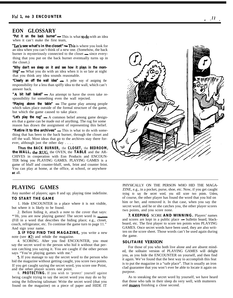# **EON GLOSSARY**

"Put it on the back burner" - This is what to do with an idea when it can't make the first team,

"Let's see what's in the closet" - This is where you look for an idea when you can't think of a new one. (Somehow, the back burner is mysteriously connected to the closet — since everything that you put on the back burner eventually turns up in the closet.)

**"Why don't we sleep on it and see how it plays in the morn-<br>
<b>ing"** — What you do with an idea when it is so late at night that you think any idea sounds reasonable. **ing"** — What you do with an idea when it is so late at night that you think any idea sounds reasonable.<br>"**Clearly an off the wall idea"** — A polite way of assigning the

responsibility for a less than spiffy idea to the wall, which can't answer back.

"A bit half baked" - An attempt to have the oven take responsibility for something even the wall rejected.

**"Playing above the table" -** The game play among people which takes place outside of the formal structure of the game, but which the game caused to take place.

**"Let's play the rug" -**A common belief among game designers that a game can be made out of anything. The rug for some reason has drawn the assignment of representing this belief.

"Retire it to the archives" - This is what to do with something that has been to the back burner, through the closet and off the wall. Most ideas that go to the archives stay there forever, although just the other day . . . .

**Thus the BACK BURNER,** the **CLOSET,** the **BEDROOM, the WALL, the-RUG,** the OVEN, the **TABLE** and the AR-CHIVES in cooperation with Eon Products and ENCOUN-TER bring you PLAYING GAMES. PLAYING GAMES is a game of bluff and counter-bluff, seek, feint and counter feint. You can play at home, at the office, at school, or anywhere at all.

# **PLAYING GAMES**

Any number of players; ages 8 and up; playing time indefinite.

## **TO START THE GAME**

1. Hide ENCOUNTER in a place where it is not visible, but where it is likely to be found.

2. Before hiding it, attach a note to the cover that says: \*'Hi, you are now playing games! The secret word is  $\qquad \qquad$ (Fill in a word that describes the hiding place; e.g., closet, couch, refrigerator, etc. To continue the game turn to page 11." And sign your name.

**3. IF YOU FIND THE MAGAZINE,** you write a new note (see #2) and rehide the magazine.

4. SCORING. After you find ENCOUNTER, you must say the secret word to the person who hid it without that person catching you saying it. You are caught if the other person says "You're playing games with me."

5. If you manage to say the secret word to the person who hid the magazine without getting caught, you score two points. If you get caught saying the secret word, you score one Point, and the other player scores one point.

6. **PROTECTING.** If you wish to 'protect' yourself against being caught trying to say the secret word you may do so by using the following talisman: Write the secret word (that you found on the magazine) on a piece of paper and HIDE IT

PHYSICALLY ON THE PERSON WHO HID THE MAGA-ZINE, e.g., in a pocket, purse, shoe, etc. Now, if you get caught trying to say the secret word, you still score two points. Unless, of course, the other player has found the word that you hid on him or her, and removed it. In that case, when you say the secret word, and he or she catches you, the other player scores two points, and you score none.

**7. KEEPING** SCORE **AND WINNING.** Players' names and scores are kept in a public place - bulletin board, blackboard, etc. The first player to score ten points wins PLAYING GAMES. Once secret words have been used, they are also written on the score sheet. Those words can't be used again during the game.

#### **SOLITAIRE VERSION**

For those of you who both live alone and are absent minded, the solitaire version of PLAYING GAMES will delight you, as you hide the ENCOUNTER on yourself, and then find it again. We've found that the best way to accomplish this feat is to put the magazine in a "safe place". That is usually an iron clad guarantee that you won't ever be able to locate it again on purpose.

As to sneaking the secret word by yourself, we have heard that those who talk in their sleep do very well, with mutterers and musers finishing a close second.